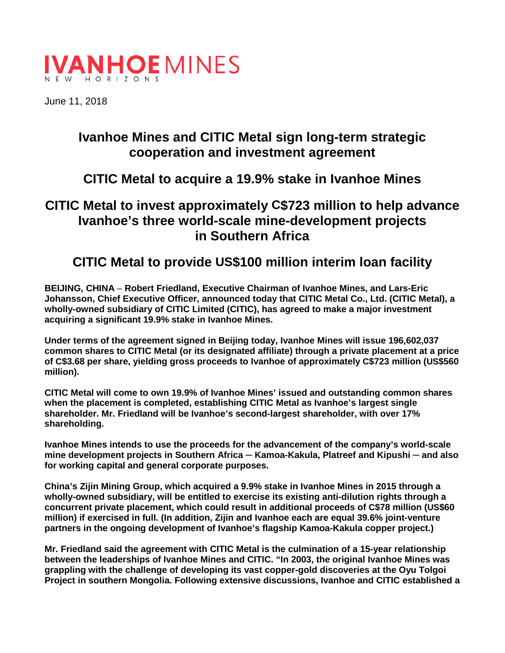

June 11, 2018

# **Ivanhoe Mines and CITIC Metal sign long-term strategic cooperation and investment agreement**

## **CITIC Metal to acquire a 19.9% stake in Ivanhoe Mines**

## **CITIC Metal to invest approximately C\$723 million to help advance Ivanhoe's three world-scale mine-development projects in Southern Africa**

## **CITIC Metal to provide US\$100 million interim loan facility**

**BEIJING, CHINA** – **Robert Friedland, Executive Chairman of Ivanhoe Mines, and Lars-Eric Johansson, Chief Executive Officer, announced today that CITIC Metal Co., Ltd. (CITIC Metal), a wholly-owned subsidiary of CITIC Limited (CITIC), has agreed to make a major investment acquiring a significant 19.9% stake in Ivanhoe Mines.**

**Under terms of the agreement signed in Beijing today, Ivanhoe Mines will issue 196,602,037 common shares to CITIC Metal (or its designated affiliate) through a private placement at a price of C\$3.68 per share, yielding gross proceeds to Ivanhoe of approximately C\$723 million (US\$560 million).**

**CITIC Metal will come to own 19.9% of Ivanhoe Mines' issued and outstanding common shares when the placement is completed, establishing CITIC Metal as Ivanhoe's largest single shareholder. Mr. Friedland will be Ivanhoe's second-largest shareholder, with over 17% shareholding.**

**Ivanhoe Mines intends to use the proceeds for the advancement of the company's world-scale mine development projects in Southern Africa ─ Kamoa-Kakula, Platreef and Kipushi ─ and also for working capital and general corporate purposes.**

**China's Zijin Mining Group, which acquired a 9.9% stake in Ivanhoe Mines in 2015 through a wholly-owned subsidiary, will be entitled to exercise its existing anti-dilution rights through a concurrent private placement, which could result in additional proceeds of C\$78 million (US\$60 million) if exercised in full. (In addition, Zijin and Ivanhoe each are equal 39.6% joint-venture partners in the ongoing development of Ivanhoe's flagship Kamoa-Kakula copper project.)**

**Mr. Friedland said the agreement with CITIC Metal is the culmination of a 15-year relationship between the leaderships of Ivanhoe Mines and CITIC. "In 2003, the original Ivanhoe Mines was grappling with the challenge of developing its vast copper-gold discoveries at the Oyu Tolgoi Project in southern Mongolia. Following extensive discussions, Ivanhoe and CITIC established a**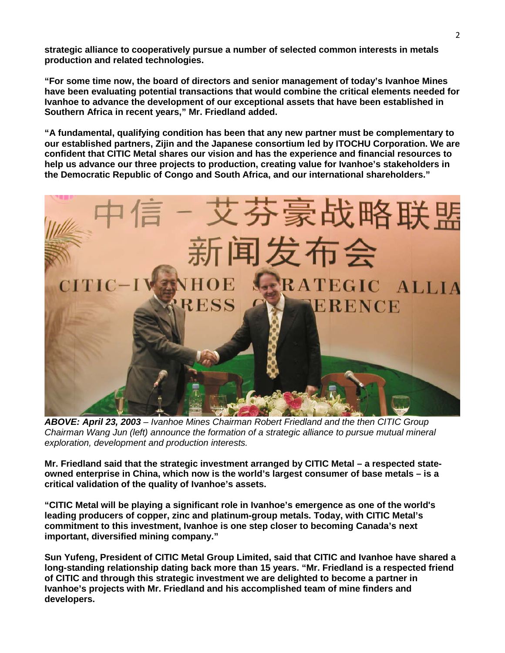**strategic alliance to cooperatively pursue a number of selected common interests in metals production and related technologies.**

**"For some time now, the board of directors and senior management of today's Ivanhoe Mines have been evaluating potential transactions that would combine the critical elements needed for Ivanhoe to advance the development of our exceptional assets that have been established in Southern Africa in recent years," Mr. Friedland added.** 

**"A fundamental, qualifying condition has been that any new partner must be complementary to our established partners, Zijin and the Japanese consortium led by ITOCHU Corporation. We are confident that CITIC Metal shares our vision and has the experience and financial resources to help us advance our three projects to production, creating value for Ivanhoe's stakeholders in the Democratic Republic of Congo and South Africa, and our international shareholders."** 



*ABOVE: April 23, 2003 – Ivanhoe Mines Chairman Robert Friedland and the then CITIC Group Chairman Wang Jun (left) announce the formation of a strategic alliance to pursue mutual mineral exploration, development and production interests.* 

**Mr. Friedland said that the strategic investment arranged by CITIC Metal – a respected stateowned enterprise in China, which now is the world's largest consumer of base metals – is a critical validation of the quality of Ivanhoe's assets.**

**"CITIC Metal will be playing a significant role in Ivanhoe's emergence as one of the world's leading producers of copper, zinc and platinum-group metals. Today, with CITIC Metal's commitment to this investment, Ivanhoe is one step closer to becoming Canada's next important, diversified mining company."**

**Sun Yufeng, President of CITIC Metal Group Limited, said that CITIC and Ivanhoe have shared a long-standing relationship dating back more than 15 years. "Mr. Friedland is a respected friend of CITIC and through this strategic investment we are delighted to become a partner in Ivanhoe's projects with Mr. Friedland and his accomplished team of mine finders and developers.**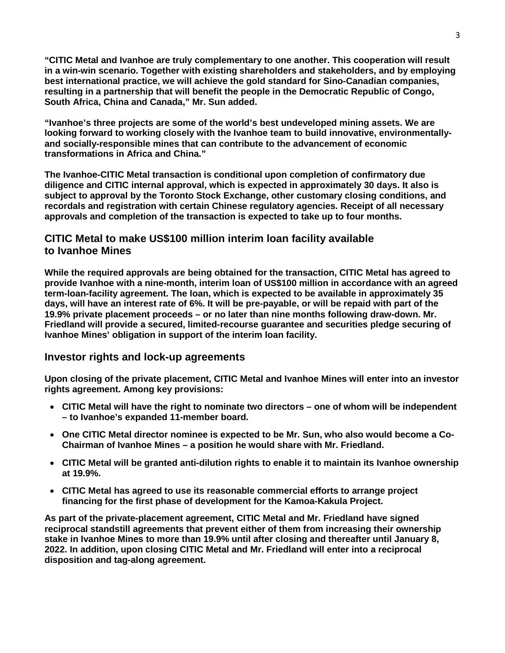**"CITIC Metal and Ivanhoe are truly complementary to one another. This cooperation will result in a win-win scenario. Together with existing shareholders and stakeholders, and by employing best international practice, we will achieve the gold standard for Sino-Canadian companies, resulting in a partnership that will benefit the people in the Democratic Republic of Congo, South Africa, China and Canada," Mr. Sun added.**

**"Ivanhoe's three projects are some of the world's best undeveloped mining assets. We are looking forward to working closely with the Ivanhoe team to build innovative, environmentallyand socially-responsible mines that can contribute to the advancement of economic transformations in Africa and China."**

**The Ivanhoe-CITIC Metal transaction is conditional upon completion of confirmatory due diligence and CITIC internal approval, which is expected in approximately 30 days. It also is subject to approval by the Toronto Stock Exchange, other customary closing conditions, and recordals and registration with certain Chinese regulatory agencies. Receipt of all necessary approvals and completion of the transaction is expected to take up to four months.**

### **CITIC Metal to make US\$100 million interim loan facility available to Ivanhoe Mines**

**While the required approvals are being obtained for the transaction, CITIC Metal has agreed to provide Ivanhoe with a nine-month, interim loan of US\$100 million in accordance with an agreed term-loan-facility agreement. The loan, which is expected to be available in approximately 35 days, will have an interest rate of 6%. It will be pre-payable, or will be repaid with part of the 19.9% private placement proceeds – or no later than nine months following draw-down. Mr. Friedland will provide a secured, limited-recourse guarantee and securities pledge securing of Ivanhoe Mines' obligation in support of the interim loan facility.**

### **Investor rights and lock-up agreements**

**Upon closing of the private placement, CITIC Metal and Ivanhoe Mines will enter into an investor rights agreement. Among key provisions:**

- **CITIC Metal will have the right to nominate two directors – one of whom will be independent – to Ivanhoe's expanded 11-member board.**
- **One CITIC Metal director nominee is expected to be Mr. Sun, who also would become a Co-Chairman of Ivanhoe Mines – a position he would share with Mr. Friedland.**
- **CITIC Metal will be granted anti-dilution rights to enable it to maintain its Ivanhoe ownership at 19.9%.**
- **CITIC Metal has agreed to use its reasonable commercial efforts to arrange project financing for the first phase of development for the Kamoa-Kakula Project.**

**As part of the private-placement agreement, CITIC Metal and Mr. Friedland have signed reciprocal standstill agreements that prevent either of them from increasing their ownership stake in Ivanhoe Mines to more than 19.9% until after closing and thereafter until January 8, 2022. In addition, upon closing CITIC Metal and Mr. Friedland will enter into a reciprocal disposition and tag-along agreement.**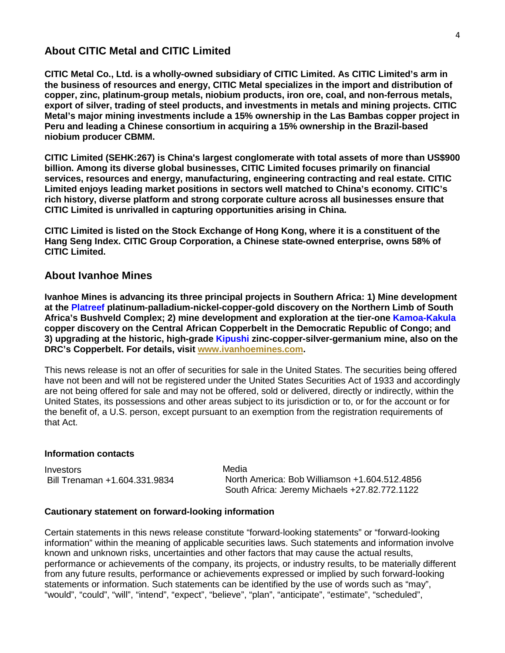### **About CITIC Metal and CITIC Limited**

**CITIC Metal Co., Ltd. is a wholly-owned subsidiary of CITIC Limited. As CITIC Limited's arm in the business of resources and energy, CITIC Metal specializes in the import and distribution of copper, zinc, platinum-group metals, niobium products, iron ore, coal, and non-ferrous metals, export of silver, trading of steel products, and investments in metals and mining projects. CITIC Metal's major mining investments include a 15% ownership in the Las Bambas copper project in Peru and leading a Chinese consortium in acquiring a 15% ownership in the Brazil-based niobium producer CBMM.** 

**CITIC Limited (SEHK:267) is China's largest conglomerate with total assets of more than US\$900 billion. Among its diverse global businesses, CITIC Limited focuses primarily on financial services, resources and energy, manufacturing, engineering contracting and real estate. CITIC Limited enjoys leading market positions in sectors well matched to China's economy. CITIC's rich history, diverse platform and strong corporate culture across all businesses ensure that CITIC Limited is unrivalled in capturing opportunities arising in China.**

**CITIC Limited is listed on the Stock Exchange of Hong Kong, where it is a constituent of the Hang Seng Index. CITIC Group Corporation, a Chinese state-owned enterprise, owns 58% of CITIC Limited.**

#### **About Ivanhoe Mines**

**Ivanhoe Mines is advancing its three principal projects in Southern Africa: 1) Mine development at the Platreef platinum-palladium-nickel-copper-gold discovery on the Northern Limb of South Africa's Bushveld Complex; 2) mine development and exploration at the tier-one Kamoa-Kakula copper discovery on the Central African Copperbelt in the Democratic Republic of Congo; and 3) upgrading at the historic, high-grade Kipushi zinc-copper-silver-germanium mine, also on the DRC's Copperbelt. For details, visit [www.ivanhoemines.com.](http://www.ivanhoemines.com/)**

This news release is not an offer of securities for sale in the United States. The securities being offered have not been and will not be registered under the United States Securities Act of 1933 and accordingly are not being offered for sale and may not be offered, sold or delivered, directly or indirectly, within the United States, its possessions and other areas subject to its jurisdiction or to, or for the account or for the benefit of, a U.S. person, except pursuant to an exemption from the registration requirements of that Act.

#### **Information contacts**

Investors Bill Trenaman +1.604.331.9834 Media North America: Bob Williamson +1.604.512.4856 South Africa: Jeremy Michaels +27.82.772.1122

#### **Cautionary statement on forward-looking information**

Certain statements in this news release constitute "forward-looking statements" or "forward-looking information" within the meaning of applicable securities laws. Such statements and information involve known and unknown risks, uncertainties and other factors that may cause the actual results, performance or achievements of the company, its projects, or industry results, to be materially different from any future results, performance or achievements expressed or implied by such forward-looking statements or information. Such statements can be identified by the use of words such as "may", "would", "could", "will", "intend", "expect", "believe", "plan", "anticipate", "estimate", "scheduled",